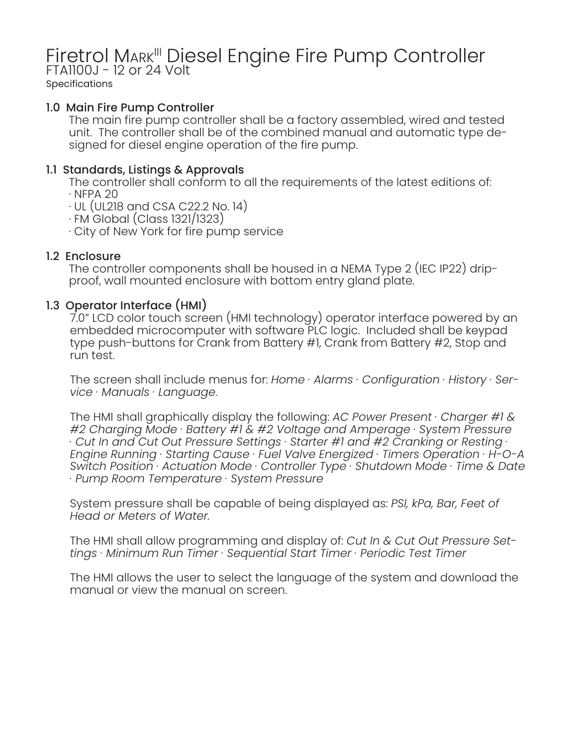# Firetrol MARK<sup>III</sup> Diesel Engine Fire Pump Controller<br>FTA1100J - 12 or 24 Volt

**Specifications** 

# 1.0 Main Fire Pump Controller

The main fire pump controller shall be a factory assembled, wired and tested unit. The controller shall be of the combined manual and automatic type designed for diesel engine operation of the fire pump.

# 1.1 Standards, Listings & Approvals

The controller shall conform to all the requirements of the latest editions of:

 $\cdot$  NFPA 20

 $\cdot$  UL (UL218 and CSA C22.2 No. 14)

· FM Global (Class 1321/1323)

· City of New York for fire pump service

# 1.2 Enclosure

The controller components shall be housed in a NEMA Type 2 (IEC IP22) dripproof, wall mounted enclosure with bottom entry gland plate.

# 1.3 Operator Interface (HMI)

7.0" LCD color touch screen (HMI technology) operator interface powered by an embedded microcomputer with software PLC logic. Included shall be keypad type push-buttons for Crank from Battery #1, Crank from Battery #2, Stop and run test.

The screen shall include menus for: *Home · Alarms · Configuration · History · Service · Manuals · Language*.

The HMI shall graphically display the following: *AC Power Present · Charger #1 & #2 Charging Mode · Battery #1 & #2 Voltage and Amperage · System Pressure · Cut In and Cut Out Pressure Settings · Starter #1 and #2 Cranking or Resting · Engine Running · Starting Cause · Fuel Valve Energized · Timers Operation · H-O-A Switch Position · Actuation Mode · Controller Type · Shutdown Mode · Time & Date · Pump Room Temperature · System Pressure*

System pressure shall be capable of being displayed as: *PSI, kPa, Bar, Feet of Head or Meters of Water.*

The HMI shall allow programming and display of: *Cut In & Cut Out Pressure Settings · Minimum Run Timer · Sequential Start Timer · Periodic Test Timer*

The HMI allows the user to select the language of the system and download the manual or view the manual on screen.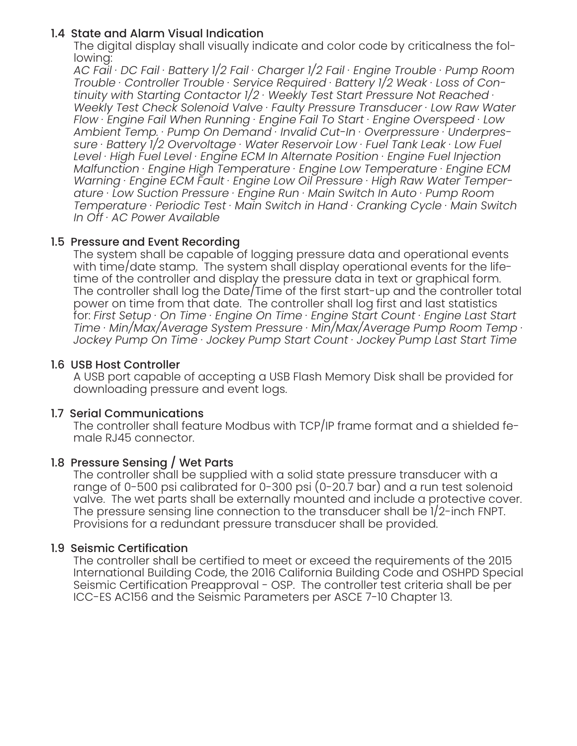#### 1.4 State and Alarm Visual Indication

The digital display shall visually indicate and color code by criticalness the following:

*AC Fail · DC Fail · Battery 1/2 Fail · Charger 1/2 Fail · Engine Trouble · Pump Room Trouble · Controller Trouble · Service Required · Battery 1/2 Weak · Loss of Continuity with Starting Contactor 1/2 · Weekly Test Start Pressure Not Reached · Weekly Test Check Solenoid Valve · Faulty Pressure Transducer · Low Raw Water Flow · Engine Fail When Running · Engine Fail To Start · Engine Overspeed · Low Ambient Temp. · Pump On Demand · Invalid Cut-In · Overpressure · Underpressure · Battery 1/2 Overvoltage · Water Reservoir Low · Fuel Tank Leak · Low Fuel Level · High Fuel Level · Engine ECM In Alternate Position · Engine Fuel Injection Malfunction · Engine High Temperature · Engine Low Temperature · Engine ECM Warning · Engine ECM Fault · Engine Low Oil Pressure · High Raw Water Temperature · Low Suction Pressure · Engine Run · Main Switch In Auto · Pump Room Temperature · Periodic Test · Main Switch in Hand · Cranking Cycle · Main Switch In Off · AC Power Available*

# 1.5 Pressure and Event Recording

The system shall be capable of logging pressure data and operational events with time/date stamp. The system shall display operational events for the lifetime of the controller and display the pressure data in text or graphical form. The controller shall log the Date/Time of the first start-up and the controller total power on time from that date. The controller shall log first and last statistics for: *First Setup · On Time · Engine On Time · Engine Start Count · Engine Last Start Time · Min/Max/Average System Pressure · Min/Max/Average Pump Room Temp · Jockey Pump On Time · Jockey Pump Start Count · Jockey Pump Last Start Time* 

#### 1.6 USB Host Controller

A USB port capable of accepting a USB Flash Memory Disk shall be provided for downloading pressure and event logs.

#### 1.7 Serial Communications

The controller shall feature Modbus with TCP/IP frame format and a shielded female RJ45 connector.

# 1.8 Pressure Sensing / Wet Parts

The controller shall be supplied with a solid state pressure transducer with a range of 0-500 psi calibrated for 0-300 psi (0-20.7 bar) and a run test solenoid valve. The wet parts shall be externally mounted and include a protective cover. The pressure sensing line connection to the transducer shall be 1/2-inch FNPT. Provisions for a redundant pressure transducer shall be provided.

#### 1.9 Seismic Certification

The controller shall be certified to meet or exceed the requirements of the 2015 International Building Code, the 2016 California Building Code and OSHPD Special Seismic Certification Preapproval - OSP. The controller test criteria shall be per ICC-ES AC156 and the Seismic Parameters per ASCE 7-10 Chapter 13.